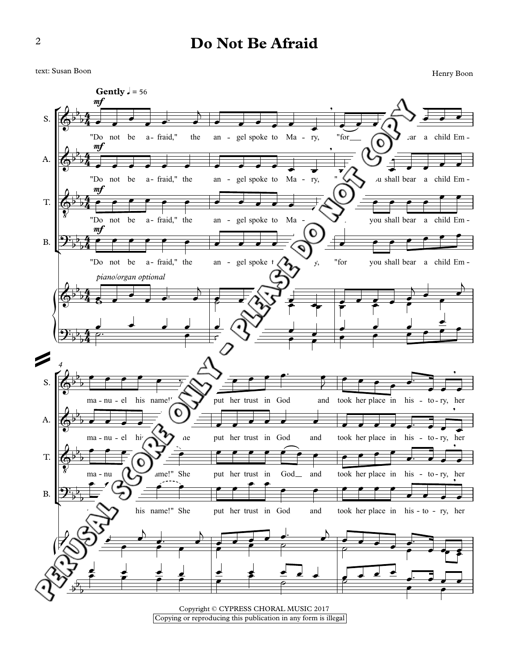Susan Boon Henry Henry Henry Henry Henry Henry Henry Henry Henry Henry Henry Henry Henry Henry Henry Henry Henry

**Henry Boon** 

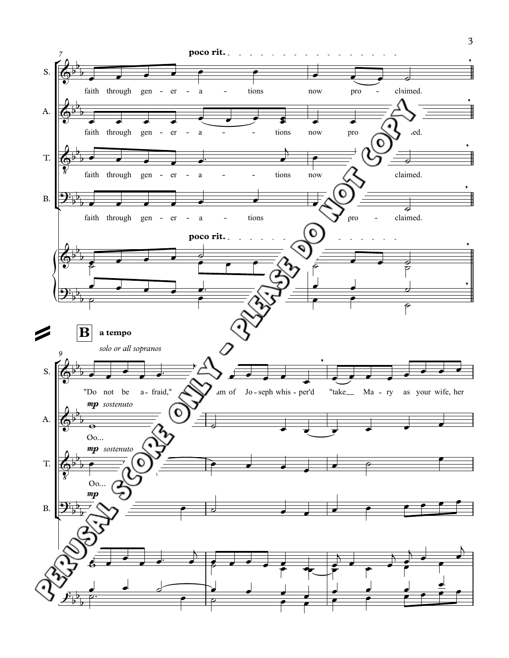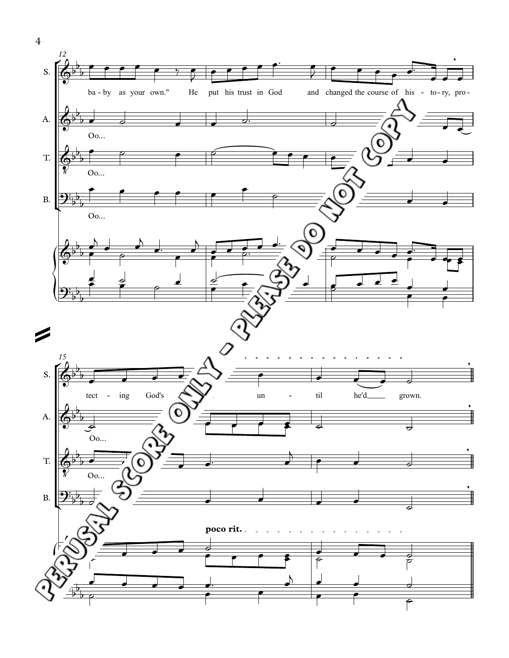

 $\overline{4}$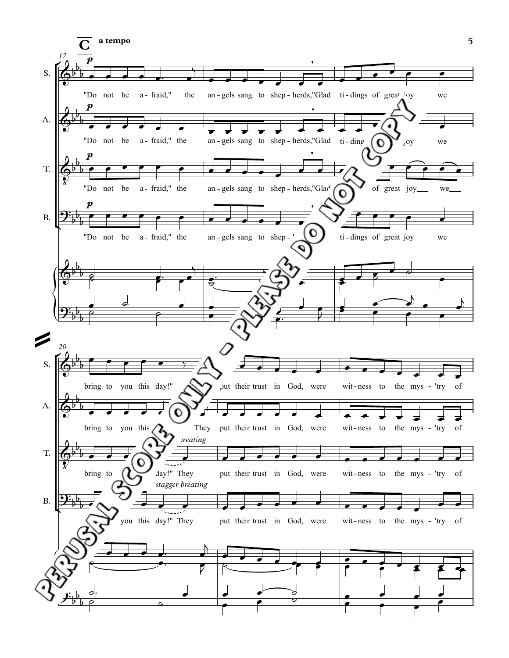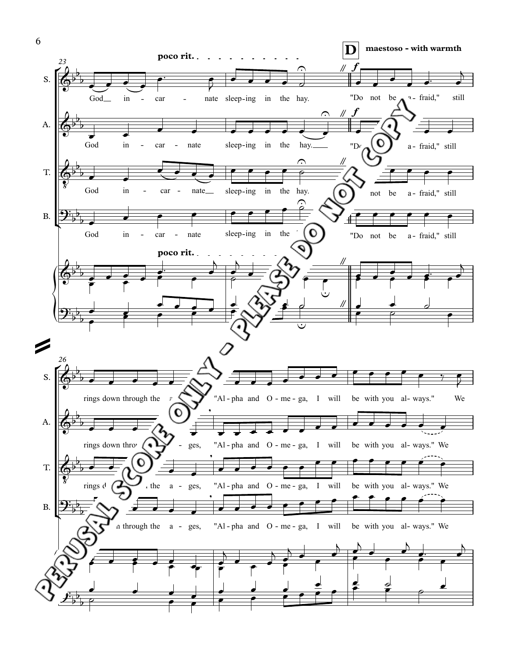